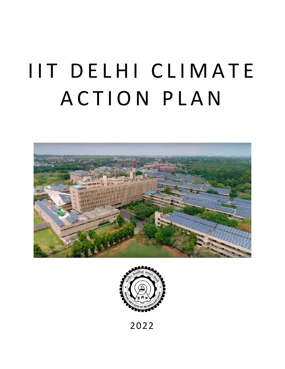# IIT DELHI CLIMATE ACTION PLAN





2022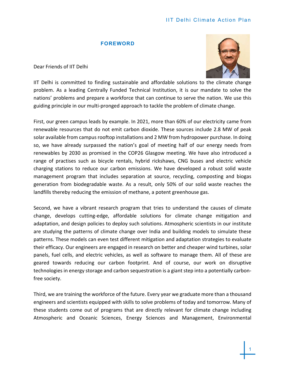# IIT Delhi Climate Action Plan

#### **FOREWORD**

Dear Friends of IIT Delhi



IIT Delhi is committed to finding sustainable and affordable solutions to the climate change problem. As a leading Centrally Funded Technical Institution, it is our mandate to solve the nations' problems and prepare a workforce that can continue to serve the nation. We use this guiding principle in our multi-pronged approach to tackle the problem of climate change.

First, our green campus leads by example. In 2021, more than 60% of our electricity came from renewable resources that do not emit carbon dioxide. These sources include 2.8 MW of peak solar available from campus rooftop installations and 2 MW from hydropower purchase. In doing so, we have already surpassed the nation's goal of meeting half of our energy needs from renewables by 2030 as promised in the COP26 Glasgow meeting. We have also introduced a range of practises such as bicycle rentals, hybrid rickshaws, CNG buses and electric vehicle charging stations to reduce our carbon emissions. We have developed a robust solid waste management program that includes separation at source, recycling, composting and biogas generation from biodegradable waste. As a result, only 50% of our solid waste reaches the landfills thereby reducing the emission of methane, a potent greenhouse gas.

Second, we have a vibrant research program that tries to understand the causes of climate change, develops cutting-edge, affordable solutions for climate change mitigation and adaptation, and design policies to deploy such solutions. Atmospheric scientists in our institute are studying the patterns of climate change over India and building models to simulate these patterns. These models can even test different mitigation and adaptation strategies to evaluate their efficacy. Our engineers are engaged in research on better and cheaper wind turbines, solar panels, fuel cells, and electric vehicles, as well as software to manage them. All of these are geared towards reducing our carbon footprint. And of course, our work on disruptive technologies in energy storage and carbon sequestration is a giant step into a potentially carbonfree society.

Third, we are training the workforce of the future. Every year we graduate more than a thousand engineers and scientists equipped with skills to solve problems of today and tomorrow. Many of these students come out of programs that are directly relevant for climate change including Atmospheric and Oceanic Sciences, Energy Sciences and Management, Environmental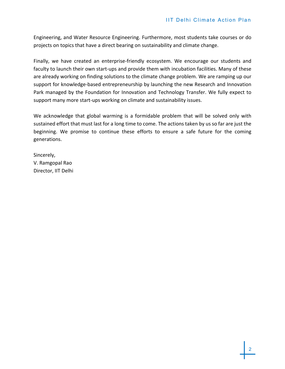Engineering, and Water Resource Engineering. Furthermore, most students take courses or do projects on topics that have a direct bearing on sustainability and climate change.

Finally, we have created an enterprise-friendly ecosystem. We encourage our students and faculty to launch their own start-ups and provide them with incubation facilities. Many of these are already working on finding solutions to the climate change problem. We are ramping up our support for knowledge-based entrepreneurship by launching the new Research and Innovation Park managed by the Foundation for Innovation and Technology Transfer. We fully expect to support many more start-ups working on climate and sustainability issues.

We acknowledge that global warming is a formidable problem that will be solved only with sustained effort that must last for a long time to come. The actions taken by us so far are just the beginning. We promise to continue these efforts to ensure a safe future for the coming generations.

Sincerely, V. Ramgopal Rao Director, IIT Delhi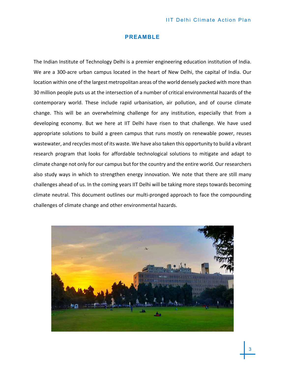## **PREAMBLE**

The Indian Institute of Technology Delhi is a premier engineering education institution of India. We are a 300-acre urban campus located in the heart of New Delhi, the capital of India. Our location within one of the largest metropolitan areas of the world densely packed with more than 30 million people puts us at the intersection of a number of critical environmental hazards of the contemporary world. These include rapid urbanisation, air pollution, and of course climate change. This will be an overwhelming challenge for any institution, especially that from a developing economy. But we here at IIT Delhi have risen to that challenge. We have used appropriate solutions to build a green campus that runs mostly on renewable power, reuses wastewater, and recycles most of its waste. We have also taken this opportunity to build a vibrant research program that looks for affordable technological solutions to mitigate and adapt to climate change not only for our campus but for the country and the entire world. Our researchers also study ways in which to strengthen energy innovation. We note that there are still many challenges ahead of us. In the coming years IIT Delhi will be taking more steps towards becoming climate neutral. This document outlines our multi-pronged approach to face the compounding challenges of climate change and other environmental hazards.

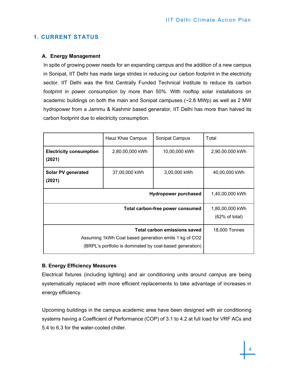# **1. CURRENT STATUS**

# **A. Energy Management**

In spite of growing power needs for an expanding campus and the addition of a new campus in Sonipat, IIT Delhi has made large strides in reducing our carbon footprint in the electricity sector. IIT Delhi was the first Centrally Funded Technical Institute to reduce its carbon footprint in power consumption by more than 50%. With rooftop solar installations on academic buildings on both the main and Sonipat campuses  $(-2.8 \text{ MWp})$  as well as 2 MW hydropower from a Jammu & Kashmir based generator, IIT Delhi has more than halved its carbon footprint due to electricity consumption.

|                                                                                                                                                   | Hauz Khas Campus | Sonipat Campus | Total                             |
|---------------------------------------------------------------------------------------------------------------------------------------------------|------------------|----------------|-----------------------------------|
| <b>Electricity consumption</b><br>(2021)                                                                                                          | 2,80,00,000 kWh  | 10,00,000 kWh  | 2,90,00,000 kWh                   |
| Solar PV generated<br>(2021)                                                                                                                      | 37,00,000 kWh    | 3,00,000 kWh   | 40,00,000 kWh                     |
| <b>Hydropower purchased</b>                                                                                                                       |                  |                | 1,40,00,000 kWh                   |
| Total carbon-free power consumed                                                                                                                  |                  |                | 1,80,00,000 kWh<br>(62% of total) |
| Total carbon emissions saved<br>Assuming 1kWh Coal based generation emits 1 kg of CO2<br>(BRPL's portfolio is dominated by coal-based generation) |                  |                | 18,000 Tonnes                     |

# **B. Energy Efficiency Measures**

Electrical fixtures (including lighting) and air conditioning units around campus are being systematically replaced with more efficient replacements to take advantage of increases in energy efficiency.

Upcoming buildings in the campus academic area have been designed with air conditioning systems having a Coefficient of Performance (COP) of 3.1 to 4.2 at full load for VRF ACs and 5.4 to 6.3 for the water-cooled chiller.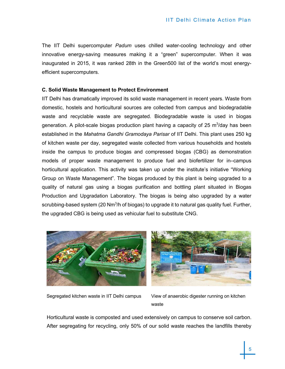The IIT Delhi supercomputer *Padum* uses chilled water-cooling technology and other innovative energy-saving measures making it a "green" supercomputer. When it was inaugurated in 2015, it was ranked 28th in the Green500 list of the world's most energyefficient supercomputers.

## **C. Solid Waste Management to Protect Environment**

IIT Delhi has dramatically improved its solid waste management in recent years. Waste from domestic, hostels and horticultural sources are collected from campus and biodegradable waste and recyclable waste are segregated. Biodegradable waste is used in biogas generation. A pilot-scale biogas production plant having a capacity of 25 m<sup>3</sup>/day has been established in the *Mahatma Gandhi Gramodaya Parisar* of IIT Delhi. This plant uses 250 kg of kitchen waste per day, segregated waste collected from various households and hostels inside the campus to produce biogas and compressed biogas (CBG) as demonstration models of proper waste management to produce fuel and biofertilizer for in–campus horticultural application. This activity was taken up under the institute's initiative "Working Group on Waste Management". The biogas produced by this plant is being upgraded to a quality of natural gas using a biogas purification and bottling plant situated in Biogas Production and Upgradation Laboratory. The biogas is being also upgraded by a water scrubbing-based system (20 Nm<sup>3</sup>/h of biogas) to upgrade it to natural gas quality fuel. Further, the upgraded CBG is being used as vehicular fuel to substitute CNG.



Segregated kitchen waste in IIT Delhi campus View of anaerobic digester running on kitchen waste

Horticultural waste is composted and used extensively on campus to conserve soil carbon. After segregating for recycling, only 50% of our solid waste reaches the landfills thereby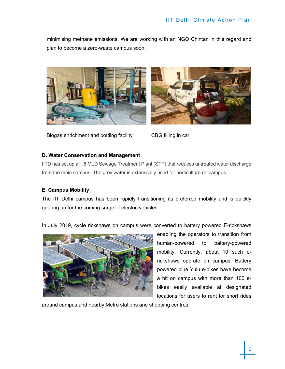minimising methane emissions. We are working with an NGO Chintan in this regard and plan to become a zero-waste campus soon.





Biogas enrichment and bottling facility CBG filling in car

# **D. Water Conservation and Management**

IITD has set up a 1.5 MLD Sewage Treatment Plant (STP) that reduces untreated water discharge from the main campus. The grey water is extensively used for horticulture on campus.

# **E. Campus Mobility**

The IIT Delhi campus has been rapidly transitioning its preferred mobility and is quickly gearing up for the coming surge of electric vehicles.

In July 2019, cycle rickshaws on campus were converted to battery powered E-rickshaws



enabling the operators to transition from human-powered to battery-powered mobility. Currently, about 10 such erickshaws operate on campus. Battery powered blue Yulu e-bikes have become a hit on campus with more than 100 ebikes easily available at designated locations for users to rent for short rides

around campus and nearby Metro stations and shopping centres.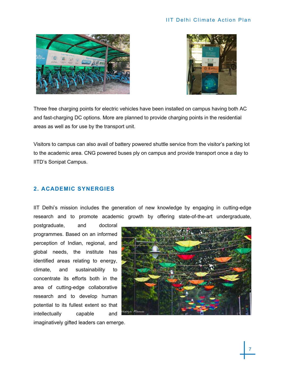



Three free charging points for electric vehicles have been installed on campus having both AC and fast-charging DC options. More are planned to provide charging points in the residential areas as well as for use by the transport unit.

Visitors to campus can also avail of battery powered shuttle service from the visitor's parking lot to the academic area. CNG powered buses ply on campus and provide transport once a day to IITD's Sonipat Campus.

# **2. ACADEMIC SYNERGIES**

IIT Delhi's mission includes the generation of new knowledge by engaging in cutting-edge research and to promote academic growth by offering state-of-the-art undergraduate,

postgraduate, and doctoral programmes. Based on an informed perception of Indian, regional, and global needs, the institute has identified areas relating to energy, climate, and sustainability to concentrate its efforts both in the area of cutting-edge collaborative research and to develop human potential to its fullest extent so that intellectually capable and



imaginatively gifted leaders can emerge.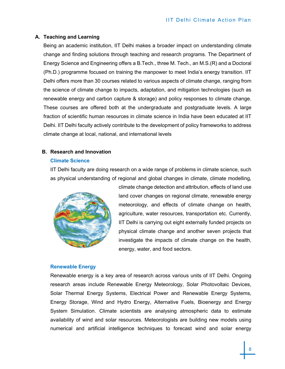# **A. Teaching and Learning**

Being an academic institution, IIT Delhi makes a broader impact on understanding climate change and finding solutions through teaching and research programs. The Department of Energy Science and Engineering offers a B.Tech., three M. Tech., an M.S.(R) and a Doctoral (Ph.D.) programme focused on training the manpower to meet India's energy transition. IIT Delhi offers more than 30 courses related to various aspects of climate change, ranging from the science of climate change to impacts, adaptation, and mitigation technologies (such as renewable energy and carbon capture & storage) and policy responses to climate change. These courses are offered both at the undergraduate and postgraduate levels. A large fraction of scientific human resources in climate science in India have been educated at IIT Delhi. IIT Delhi faculty actively contribute to the development of policy frameworks to address climate change at local, national, and international levels

# **B. Research and Innovation**

# **Climate Science**

IIT Delhi faculty are doing research on a wide range of problems in climate science, such as physical understanding of regional and global changes in climate, climate modelling,



climate change detection and attribution, effects of land use land cover changes on regional climate, renewable energy meteorology, and effects of climate change on health, agriculture, water resources, transportation etc. Currently, IIT Delhi is carrying out eight externally funded projects on physical climate change and another seven projects that investigate the impacts of climate change on the health, energy, water, and food sectors.

# **Renewable Energy**

Renewable energy is a key area of research across various units of IIT Delhi. Ongoing research areas include Renewable Energy Meteorology, Solar Photovoltaic Devices, Solar Thermal Energy Systems, Electrical Power and Renewable Energy Systems, Energy Storage, Wind and Hydro Energy, Alternative Fuels, Bioenergy and Energy System Simulation. Climate scientists are analysing atmospheric data to estimate availability of wind and solar resources. Meteorologists are building new models using numerical and artificial intelligence techniques to forecast wind and solar energy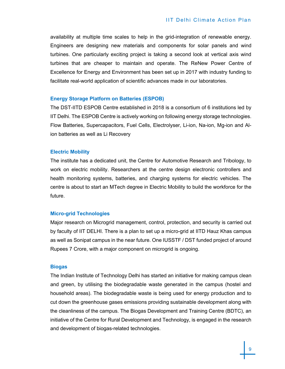availability at multiple time scales to help in the grid-integration of renewable energy. Engineers are designing new materials and components for solar panels and wind turbines. One particularly exciting project is taking a second look at vertical axis wind turbines that are cheaper to maintain and operate. The ReNew Power Centre of Excellence for Energy and Environment has been set up in 2017 with industry funding to facilitate real-world application of scientific advances made in our laboratories.

#### **Energy Storage Platform on Batteries (ESPOB)**

The DST-IITD ESPOB Centre established in 2018 is a consortium of 6 institutions led by IIT Delhi. The ESPOB Centre is actively working on following energy storage technologies. Flow Batteries, Supercapacitors, Fuel Cells, Electrolyser, Li-ion, Na-ion, Mg-ion and Alion batteries as well as Li Recovery

#### **Electric Mobility**

The institute has a dedicated unit, the Centre for Automotive Research and Tribology, to work on electric mobility. Researchers at the centre design electronic controllers and health monitoring systems, batteries, and charging systems for electric vehicles. The centre is about to start an MTech degree in Electric Mobility to build the workforce for the future.

#### **Micro-grid Technologies**

Major research on Microgrid management, control, protection, and security is carried out by faculty of IIT DELHI. There is a plan to set up a micro-grid at IITD Hauz Khas campus as well as Sonipat campus in the near future. One IUSSTF / DST funded project of around Rupees 7 Crore, with a major component on microgrid is ongoing.

#### **Biogas**

The Indian Institute of Technology Delhi has started an initiative for making campus clean and green, by utilising the biodegradable waste generated in the campus (hostel and household areas). The biodegradable waste is being used for energy production and to cut down the greenhouse gases emissions providing sustainable development along with the cleanliness of the campus. The Biogas Development and Training Centre (BDTC), an initiative of the Centre for Rural Development and Technology, is engaged in the research and development of biogas-related technologies.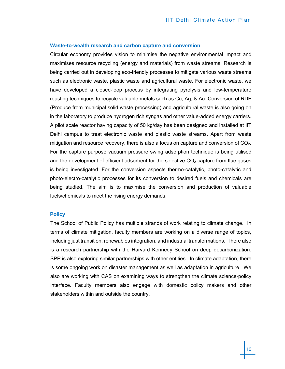#### **Waste-to-wealth research and carbon capture and conversion**

Circular economy provides vision to minimise the negative environmental impact and maximises resource recycling (energy and materials) from waste streams. Research is being carried out in developing eco-friendly processes to mitigate various waste streams such as electronic waste, plastic waste and agricultural waste. For electronic waste, we have developed a closed-loop process by integrating pyrolysis and low-temperature roasting techniques to recycle valuable metals such as Cu, Ag, & Au. Conversion of RDF (Produce from municipal solid waste processing) and agricultural waste is also going on in the laboratory to produce hydrogen rich syngas and other value-added energy carriers. A pilot scale reactor having capacity of 50 kg/day has been designed and installed at IIT Delhi campus to treat electronic waste and plastic waste streams. Apart from waste mitigation and resource recovery, there is also a focus on capture and conversion of  $CO<sub>2</sub>$ . For the capture purpose vacuum pressure swing adsorption technique is being utilised and the development of efficient adsorbent for the selective  $CO<sub>2</sub>$  capture from flue gases is being investigated. For the conversion aspects thermo-catalytic, photo-catalytic and photo-electro-catalytic processes for its conversion to desired fuels and chemicals are being studied. The aim is to maximise the conversion and production of valuable fuels/chemicals to meet the rising energy demands.

## **Policy**

The School of Public Policy has multiple strands of work relating to climate change. In terms of climate mitigation, faculty members are working on a diverse range of topics, including just transition, renewables integration, and industrial transformations. There also is a research partnership with the Harvard Kennedy School on deep decarbonization. SPP is also exploring similar partnerships with other entities. In climate adaptation, there is some ongoing work on disaster management as well as adaptation in agriculture. We also are working with CAS on examining ways to strengthen the climate science-policy interface. Faculty members also engage with domestic policy makers and other stakeholders within and outside the country.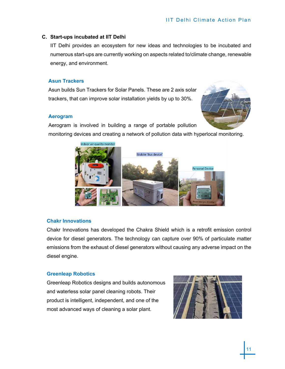# **C. Start-ups incubated at IIT Delhi**

IIT Delhi provides an ecosystem for new ideas and technologies to be incubated and numerous start-ups are currently working on aspects related to/climate change, renewable energy, and environment.

# **Asun Trackers**

Asun builds Sun Trackers for Solar Panels. These are 2 axis solar trackers, that can improve solar installation yields by up to 30%.

## **Aerogram**



Aerogram is involved in building a range of portable pollution monitoring devices and creating a network of pollution data with hyperlocal monitoring.



# **Chakr Innovations**

Chakr Innovations has developed the Chakra Shield which is a retrofit emission control device for diesel generators. The technology can capture over 90% of particulate matter emissions from the exhaust of diesel generators without causing any adverse impact on the diesel engine.

# **Greenleap Robotics**

Greenleap Robotics designs and builds autonomous and waterless solar panel cleaning robots. Their product is intelligent, independent, and one of the most advanced ways of cleaning a solar plant.